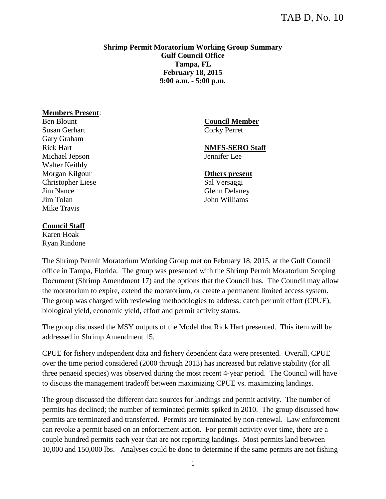## **Shrimp Permit Moratorium Working Group Summary Gulf Council Office Tampa, FL February 18, 2015 9:00 a.m. - 5:00 p.m.**

## **Members Present**:

Ben Blount Susan Gerhart Gary Graham Rick Hart Michael Jepson Walter Keithly Morgan Kilgour Christopher Liese Jim Nance Jim Tolan Mike Travis

**Council Member** Corky Perret

**NMFS-SERO Staff** Jennifer Lee

**Others present**

Sal Versaggi Glenn Delaney John Williams

## **Council Staff**

Karen Hoak Ryan Rindone

The Shrimp Permit Moratorium Working Group met on February 18, 2015, at the Gulf Council office in Tampa, Florida. The group was presented with the Shrimp Permit Moratorium Scoping Document (Shrimp Amendment 17) and the options that the Council has. The Council may allow the moratorium to expire, extend the moratorium, or create a permanent limited access system. The group was charged with reviewing methodologies to address: catch per unit effort (CPUE), biological yield, economic yield, effort and permit activity status.

The group discussed the MSY outputs of the Model that Rick Hart presented. This item will be addressed in Shrimp Amendment 15.

CPUE for fishery independent data and fishery dependent data were presented. Overall, CPUE over the time period considered (2000 through 2013) has increased but relative stability (for all three penaeid species) was observed during the most recent 4-year period. The Council will have to discuss the management tradeoff between maximizing CPUE vs. maximizing landings.

The group discussed the different data sources for landings and permit activity. The number of permits has declined; the number of terminated permits spiked in 2010. The group discussed how permits are terminated and transferred. Permits are terminated by non-renewal. Law enforcement can revoke a permit based on an enforcement action. For permit activity over time, there are a couple hundred permits each year that are not reporting landings. Most permits land between 10,000 and 150,000 lbs. Analyses could be done to determine if the same permits are not fishing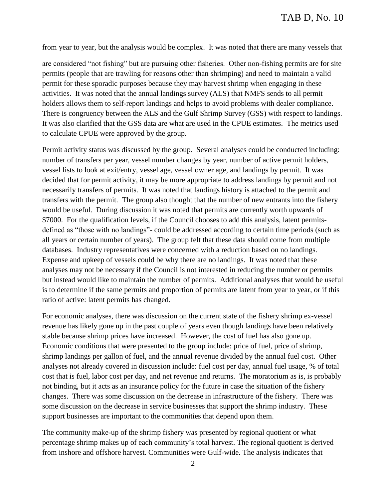from year to year, but the analysis would be complex. It was noted that there are many vessels that

are considered "not fishing" but are pursuing other fisheries. Other non-fishing permits are for site permits (people that are trawling for reasons other than shrimping) and need to maintain a valid permit for these sporadic purposes because they may harvest shrimp when engaging in these activities. It was noted that the annual landings survey (ALS) that NMFS sends to all permit holders allows them to self-report landings and helps to avoid problems with dealer compliance. There is congruency between the ALS and the Gulf Shrimp Survey (GSS) with respect to landings. It was also clarified that the GSS data are what are used in the CPUE estimates. The metrics used to calculate CPUE were approved by the group.

Permit activity status was discussed by the group. Several analyses could be conducted including: number of transfers per year, vessel number changes by year, number of active permit holders, vessel lists to look at exit/entry, vessel age, vessel owner age, and landings by permit. It was decided that for permit activity, it may be more appropriate to address landings by permit and not necessarily transfers of permits. It was noted that landings history is attached to the permit and transfers with the permit. The group also thought that the number of new entrants into the fishery would be useful. During discussion it was noted that permits are currently worth upwards of \$7000. For the qualification levels, if the Council chooses to add this analysis, latent permitsdefined as "those with no landings"- could be addressed according to certain time periods (such as all years or certain number of years). The group felt that these data should come from multiple databases. Industry representatives were concerned with a reduction based on no landings. Expense and upkeep of vessels could be why there are no landings. It was noted that these analyses may not be necessary if the Council is not interested in reducing the number or permits but instead would like to maintain the number of permits. Additional analyses that would be useful is to determine if the same permits and proportion of permits are latent from year to year, or if this ratio of active: latent permits has changed.

For economic analyses, there was discussion on the current state of the fishery shrimp ex-vessel revenue has likely gone up in the past couple of years even though landings have been relatively stable because shrimp prices have increased. However, the cost of fuel has also gone up. Economic conditions that were presented to the group include: price of fuel, price of shrimp, shrimp landings per gallon of fuel, and the annual revenue divided by the annual fuel cost. Other analyses not already covered in discussion include: fuel cost per day, annual fuel usage, % of total cost that is fuel, labor cost per day, and net revenue and returns. The moratorium as is, is probably not binding, but it acts as an insurance policy for the future in case the situation of the fishery changes. There was some discussion on the decrease in infrastructure of the fishery. There was some discussion on the decrease in service businesses that support the shrimp industry. These support businesses are important to the communities that depend upon them.

The community make-up of the shrimp fishery was presented by regional quotient or what percentage shrimp makes up of each community's total harvest. The regional quotient is derived from inshore and offshore harvest. Communities were Gulf-wide. The analysis indicates that